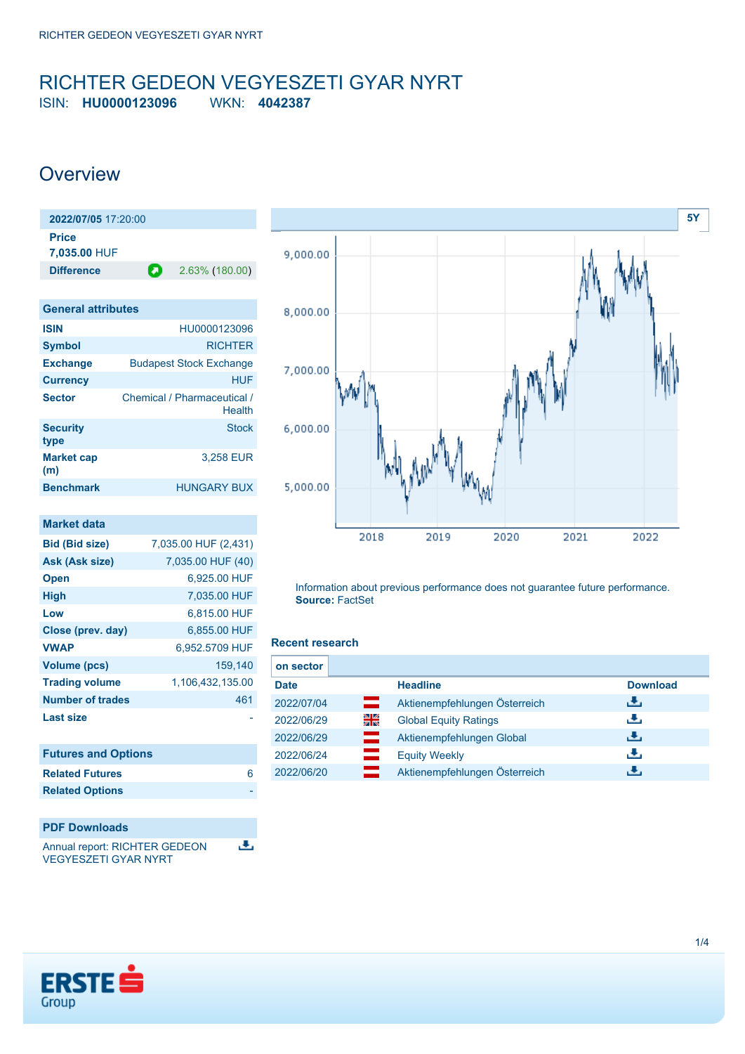## <span id="page-0-0"></span>RICHTER GEDEON VEGYESZETI GYAR NYRT ISIN: **HU0000123096** WKN: **4042387**

## **Overview**

| 2022/07/05 17:20:00   |   |                |
|-----------------------|---|----------------|
| Price<br>7,035.00 HUF |   |                |
| <b>Difference</b>     | О | 2.63% (180.00) |
|                       |   |                |

| <b>General attributes</b> |                                       |
|---------------------------|---------------------------------------|
| <b>ISIN</b>               | HU0000123096                          |
| <b>Symbol</b>             | <b>RICHTER</b>                        |
| <b>Exchange</b>           | <b>Budapest Stock Exchange</b>        |
| <b>Currency</b>           | HUF                                   |
| <b>Sector</b>             | Chemical / Pharmaceutical /<br>Health |
| <b>Security</b><br>type   | <b>Stock</b>                          |
| <b>Market cap</b><br>(m)  | 3.258 EUR                             |
| <b>Benchmark</b>          | <b>HUNGARY BUX</b>                    |

| <b>Market data</b>      |                      |
|-------------------------|----------------------|
| <b>Bid (Bid size)</b>   | 7,035.00 HUF (2,431) |
| Ask (Ask size)          | 7,035.00 HUF (40)    |
| <b>Open</b>             | 6.925.00 HUF         |
| <b>High</b>             | 7,035.00 HUF         |
| Low                     | 6,815.00 HUF         |
| Close (prev. day)       | 6.855,00 HUF         |
| <b>VWAP</b>             | 6,952.5709 HUF       |
| Volume (pcs)            | 159,140              |
| <b>Trading volume</b>   | 1,106,432,135.00     |
| <b>Number of trades</b> | 461                  |
| <b>Last size</b>        |                      |

| <b>Futures and Options</b> |   |
|----------------------------|---|
| <b>Related Futures</b>     | 6 |
| <b>Related Options</b>     |   |
|                            |   |

### **PDF Downloads**

ъ. Annual report: RICHTER GEDEON VEGYESZETI GYAR NYRT



Information about previous performance does not guarantee future performance. **Source:** FactSet

### **Recent research**

| on sector   |    |                               |                 |
|-------------|----|-------------------------------|-----------------|
| <b>Date</b> |    | <b>Headline</b>               | <b>Download</b> |
| 2022/07/04  | ═  | Aktienempfehlungen Österreich | رنان            |
| 2022/06/29  | 꾉뚢 | <b>Global Equity Ratings</b>  | رالى            |
| 2022/06/29  | ш  | Aktienempfehlungen Global     | 出               |
| 2022/06/24  |    | <b>Equity Weekly</b>          | رالى            |
| 2022/06/20  |    | Aktienempfehlungen Österreich | J.              |

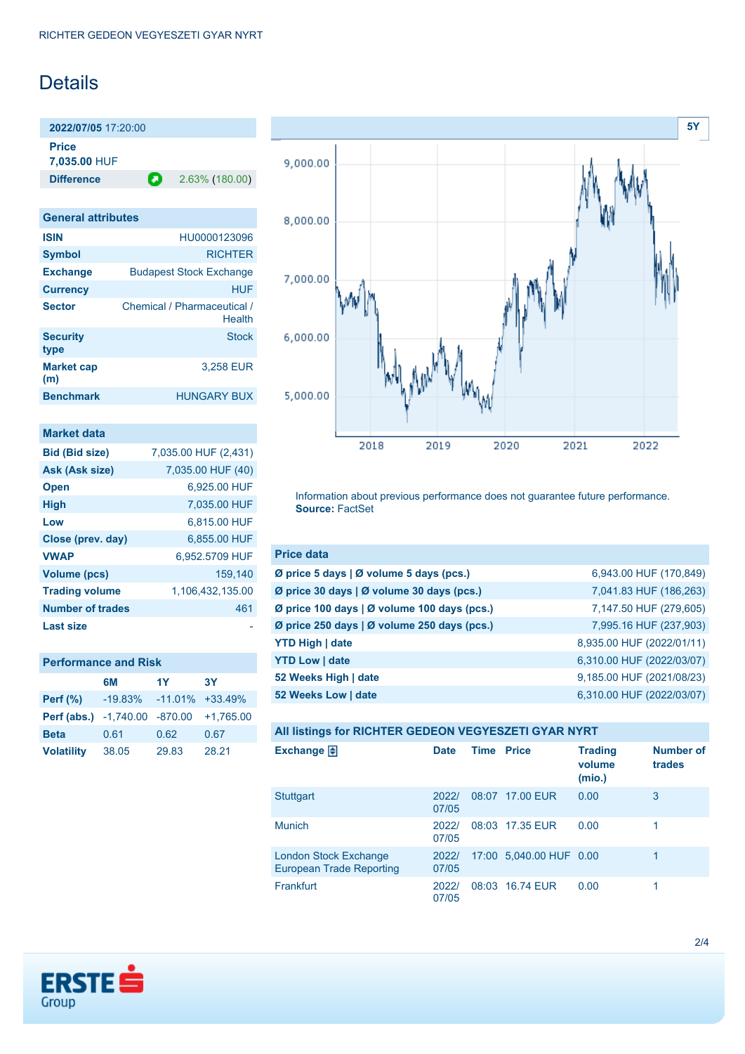# Details

**2022/07/05** 17:20:00 **Price**

**7,035.00** HUF

**Difference 2.63% (180.00)** 

| <b>General attributes</b> |                                       |
|---------------------------|---------------------------------------|
| <b>ISIN</b>               | HU0000123096                          |
| <b>Symbol</b>             | <b>RICHTER</b>                        |
| <b>Exchange</b>           | <b>Budapest Stock Exchange</b>        |
| <b>Currency</b>           | HUF                                   |
| <b>Sector</b>             | Chemical / Pharmaceutical /<br>Health |
| <b>Security</b><br>type   | Stock                                 |
| <b>Market cap</b><br>(m)  | 3,258 EUR                             |
| <b>Benchmark</b>          | HUNGARY BUX                           |

| <b>Market data</b>      |                      |
|-------------------------|----------------------|
| <b>Bid (Bid size)</b>   | 7,035.00 HUF (2,431) |
| Ask (Ask size)          | 7,035.00 HUF (40)    |
| <b>Open</b>             | 6.925.00 HUF         |
| <b>High</b>             | 7.035.00 HUF         |
| Low                     | 6,815.00 HUF         |
| Close (prev. day)       | 6,855.00 HUF         |
| <b>VWAP</b>             | 6,952.5709 HUF       |
| <b>Volume (pcs)</b>     | 159.140              |
| <b>Trading volume</b>   | 1.106.432.135.00     |
| <b>Number of trades</b> | 461                  |
| <b>Last size</b>        |                      |

| <b>Performance and Risk</b>          |                              |       |             |  |
|--------------------------------------|------------------------------|-------|-------------|--|
|                                      | 6M                           | 1Y    | 3Y          |  |
| Perf $(\%)$                          | $-19.83\% -11.01\% +33.49\%$ |       |             |  |
| <b>Perf (abs.)</b> -1,740.00 -870.00 |                              |       | $+1.765.00$ |  |
| <b>Beta</b>                          | 0.61                         | 0.62  | 0.67        |  |
| <b>Volatility</b>                    | 38.05                        | 29.83 | 28.21       |  |



Information about previous performance does not guarantee future performance. **Source:** FactSet

| <b>Price data</b>                           |                           |
|---------------------------------------------|---------------------------|
| Ø price 5 days   Ø volume 5 days (pcs.)     | 6,943.00 HUF (170,849)    |
| Ø price 30 days   Ø volume 30 days (pcs.)   | 7,041.83 HUF (186,263)    |
| Ø price 100 days   Ø volume 100 days (pcs.) | 7,147.50 HUF (279,605)    |
| Ø price 250 days   Ø volume 250 days (pcs.) | 7,995.16 HUF (237,903)    |
| <b>YTD High   date</b>                      | 8,935.00 HUF (2022/01/11) |
| <b>YTD Low   date</b>                       | 6,310.00 HUF (2022/03/07) |
| 52 Weeks High   date                        | 9,185.00 HUF (2021/08/23) |
| 52 Weeks Low   date                         | 6,310.00 HUF (2022/03/07) |

| All listings for RICHTER GEDEON VEGYESZETI GYAR NYRT            |                |                   |                         |                                    |                            |
|-----------------------------------------------------------------|----------------|-------------------|-------------------------|------------------------------------|----------------------------|
| Exchange $\bigoplus$                                            | <b>Date</b>    | <b>Time Price</b> |                         | <b>Trading</b><br>volume<br>(mio.) | <b>Number of</b><br>trades |
| <b>Stuttgart</b>                                                | 2022/<br>07/05 |                   | 08:07 17.00 EUR         | 0.00                               | 3                          |
| <b>Munich</b>                                                   | 2022/<br>07/05 |                   | 08:03 17.35 EUR         | 0.00                               | 1                          |
| <b>London Stock Exchange</b><br><b>European Trade Reporting</b> | 2022/<br>07/05 |                   | 17:00 5,040.00 HUF 0.00 |                                    | 1                          |
| <b>Frankfurt</b>                                                | 2022/<br>07/05 |                   | 08:03 16.74 EUR         | 0.00                               | 1                          |

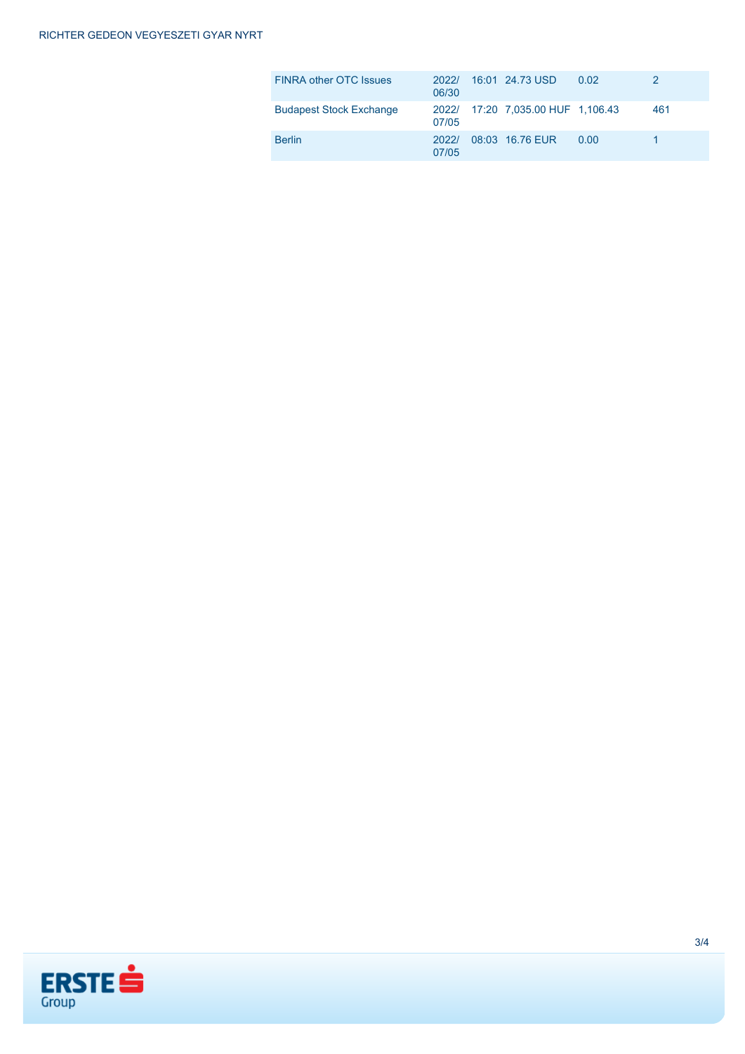| <b>FINRA other OTC Issues</b>  | 2022/<br>06/30 | 16:01 24.73 USD                   | 0.02 |     |
|--------------------------------|----------------|-----------------------------------|------|-----|
| <b>Budapest Stock Exchange</b> | 07/05          | 2022/ 17:20 7.035.00 HUF 1.106.43 |      | 461 |
| <b>Berlin</b>                  | 2022/<br>07/05 | 08:03 16.76 EUR                   | 0.00 |     |